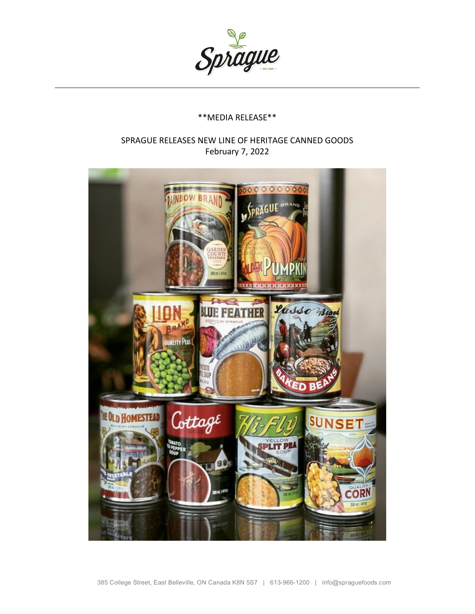

## \*\*MEDIA RELEASE\*\*

## SPRAGUE RELEASES NEW LINE OF HERITAGE CANNED GOODS February 7, 2022

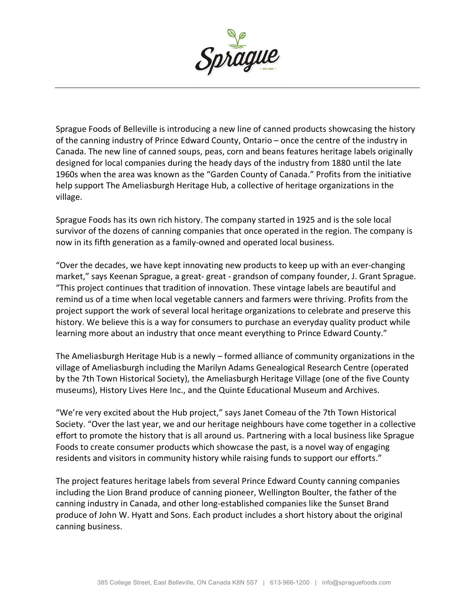

Sprague Foods of Belleville is introducing a new line of canned products showcasing the history of the canning industry of Prince Edward County, Ontario – once the centre of the industry in Canada. The new line of canned soups, peas, corn and beans features heritage labels originally designed for local companies during the heady days of the industry from 1880 until the late 1960s when the area was known as the "Garden County of Canada." Profits from the initiative help support The Ameliasburgh Heritage Hub, a collective of heritage organizations in the village.

Sprague Foods has its own rich history. The company started in 1925 and is the sole local survivor of the dozens of canning companies that once operated in the region. The company is now in its fifth generation as a family-owned and operated local business.

"Over the decades, we have kept innovating new products to keep up with an ever-changing market," says Keenan Sprague, a great- great - grandson of company founder, J. Grant Sprague. "This project continues that tradition of innovation. These vintage labels are beautiful and remind us of a time when local vegetable canners and farmers were thriving. Profits from the project support the work of several local heritage organizations to celebrate and preserve this history. We believe this is a way for consumers to purchase an everyday quality product while learning more about an industry that once meant everything to Prince Edward County."

The Ameliasburgh Heritage Hub is a newly – formed alliance of community organizations in the village of Ameliasburgh including the Marilyn Adams Genealogical Research Centre (operated by the 7th Town Historical Society), the Ameliasburgh Heritage Village (one of the five County museums), History Lives Here Inc., and the Quinte Educational Museum and Archives.

"We're very excited about the Hub project," says Janet Comeau of the 7th Town Historical Society. "Over the last year, we and our heritage neighbours have come together in a collective effort to promote the history that is all around us. Partnering with a local business like Sprague Foods to create consumer products which showcase the past, is a novel way of engaging residents and visitors in community history while raising funds to support our efforts."

The project features heritage labels from several Prince Edward County canning companies including the Lion Brand produce of canning pioneer, Wellington Boulter, the father of the canning industry in Canada, and other long-established companies like the Sunset Brand produce of John W. Hyatt and Sons. Each product includes a short history about the original canning business.